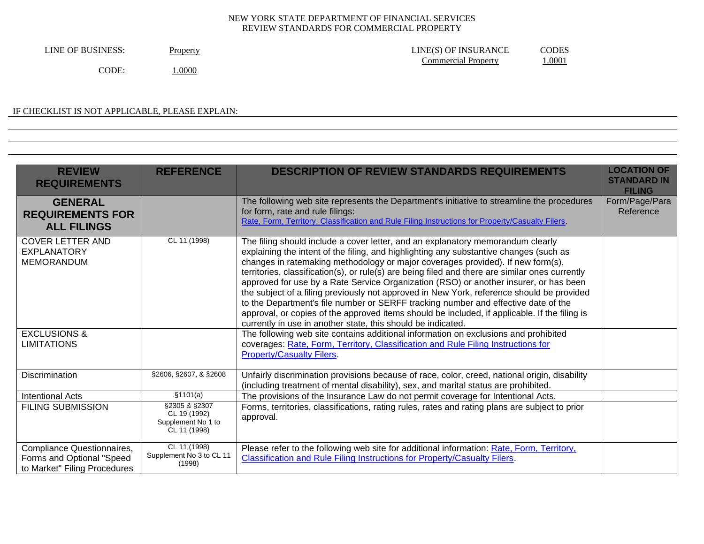| LINE OF BUSINESS: | Property | CODES<br>LINE(S) OF INSURANCE |
|-------------------|----------|-------------------------------|
|                   |          | 1.0001<br>Commercial Property |
| CODE:             | 0000.1   |                               |

# IF CHECKLIST IS NOT APPLICABLE, PLEASE EXPLAIN:

| <b>REVIEW</b><br><b>REQUIREMENTS</b>                                                    | <b>REFERENCE</b>                                                    | <b>DESCRIPTION OF REVIEW STANDARDS REQUIREMENTS</b>                                                                                                                                                                                                                                                                                                                                                                                                                                                                                                                                                                                                                                                                                                                                                          | <b>LOCATION OF</b><br><b>STANDARD IN</b><br><b>FILING</b> |
|-----------------------------------------------------------------------------------------|---------------------------------------------------------------------|--------------------------------------------------------------------------------------------------------------------------------------------------------------------------------------------------------------------------------------------------------------------------------------------------------------------------------------------------------------------------------------------------------------------------------------------------------------------------------------------------------------------------------------------------------------------------------------------------------------------------------------------------------------------------------------------------------------------------------------------------------------------------------------------------------------|-----------------------------------------------------------|
| <b>GENERAL</b><br><b>REQUIREMENTS FOR</b><br><b>ALL FILINGS</b>                         |                                                                     | The following web site represents the Department's initiative to streamline the procedures<br>for form, rate and rule filings:<br>Rate, Form, Territory, Classification and Rule Filing Instructions for Property/Casualty Filers.                                                                                                                                                                                                                                                                                                                                                                                                                                                                                                                                                                           | Form/Page/Para<br>Reference                               |
| <b>COVER LETTER AND</b><br><b>EXPLANATORY</b><br><b>MEMORANDUM</b>                      | CL 11 (1998)                                                        | The filing should include a cover letter, and an explanatory memorandum clearly<br>explaining the intent of the filing, and highlighting any substantive changes (such as<br>changes in ratemaking methodology or major coverages provided). If new form(s),<br>territories, classification(s), or rule(s) are being filed and there are similar ones currently<br>approved for use by a Rate Service Organization (RSO) or another insurer, or has been<br>the subject of a filing previously not approved in New York, reference should be provided<br>to the Department's file number or SERFF tracking number and effective date of the<br>approval, or copies of the approved items should be included, if applicable. If the filing is<br>currently in use in another state, this should be indicated. |                                                           |
| <b>EXCLUSIONS &amp;</b><br><b>LIMITATIONS</b>                                           |                                                                     | The following web site contains additional information on exclusions and prohibited<br>coverages: Rate, Form, Territory, Classification and Rule Filing Instructions for<br><b>Property/Casualty Filers.</b>                                                                                                                                                                                                                                                                                                                                                                                                                                                                                                                                                                                                 |                                                           |
| <b>Discrimination</b>                                                                   | §2606, §2607, & §2608                                               | Unfairly discrimination provisions because of race, color, creed, national origin, disability<br>(including treatment of mental disability), sex, and marital status are prohibited.                                                                                                                                                                                                                                                                                                                                                                                                                                                                                                                                                                                                                         |                                                           |
| <b>Intentional Acts</b>                                                                 | \$1101(a)                                                           | The provisions of the Insurance Law do not permit coverage for Intentional Acts.                                                                                                                                                                                                                                                                                                                                                                                                                                                                                                                                                                                                                                                                                                                             |                                                           |
| <b>FILING SUBMISSION</b>                                                                | §2305 & §2307<br>CL 19 (1992)<br>Supplement No 1 to<br>CL 11 (1998) | Forms, territories, classifications, rating rules, rates and rating plans are subject to prior<br>approval.                                                                                                                                                                                                                                                                                                                                                                                                                                                                                                                                                                                                                                                                                                  |                                                           |
| Compliance Questionnaires,<br>Forms and Optional "Speed<br>to Market" Filing Procedures | CL 11 (1998)<br>Supplement No 3 to CL 11<br>(1998)                  | Please refer to the following web site for additional information: Rate, Form, Territory,<br><b>Classification and Rule Filing Instructions for Property/Casualty Filers.</b>                                                                                                                                                                                                                                                                                                                                                                                                                                                                                                                                                                                                                                |                                                           |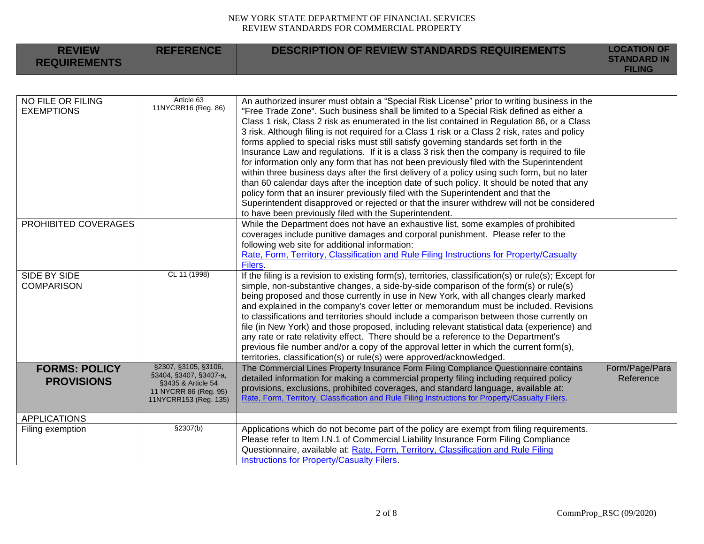| <b>REVIEW</b><br><b>REQUIREMENTS</b>      | <b>REFERENCE</b>                                                                                                       | <b>DESCRIPTION OF REVIEW STANDARDS REQUIREMENTS</b>                                                                                                                                                                                                                                                                                                                                                                                                                                                                                                                                                                                                                                                                                                                                                                                                                                                                                                                                                                                                                                                                      | <b>LOCATION OF</b><br><b>STANDARD IN</b><br><b>FILING</b> |
|-------------------------------------------|------------------------------------------------------------------------------------------------------------------------|--------------------------------------------------------------------------------------------------------------------------------------------------------------------------------------------------------------------------------------------------------------------------------------------------------------------------------------------------------------------------------------------------------------------------------------------------------------------------------------------------------------------------------------------------------------------------------------------------------------------------------------------------------------------------------------------------------------------------------------------------------------------------------------------------------------------------------------------------------------------------------------------------------------------------------------------------------------------------------------------------------------------------------------------------------------------------------------------------------------------------|-----------------------------------------------------------|
|                                           |                                                                                                                        |                                                                                                                                                                                                                                                                                                                                                                                                                                                                                                                                                                                                                                                                                                                                                                                                                                                                                                                                                                                                                                                                                                                          |                                                           |
| NO FILE OR FILING<br><b>EXEMPTIONS</b>    | Article 63<br>11NYCRR16 (Reg. 86)                                                                                      | An authorized insurer must obtain a "Special Risk License" prior to writing business in the<br>"Free Trade Zone". Such business shall be limited to a Special Risk defined as either a<br>Class 1 risk, Class 2 risk as enumerated in the list contained in Regulation 86, or a Class<br>3 risk. Although filing is not required for a Class 1 risk or a Class 2 risk, rates and policy<br>forms applied to special risks must still satisfy governing standards set forth in the<br>Insurance Law and regulations. If it is a class 3 risk then the company is required to file<br>for information only any form that has not been previously filed with the Superintendent<br>within three business days after the first delivery of a policy using such form, but no later<br>than 60 calendar days after the inception date of such policy. It should be noted that any<br>policy form that an insurer previously filed with the Superintendent and that the<br>Superintendent disapproved or rejected or that the insurer withdrew will not be considered<br>to have been previously filed with the Superintendent. |                                                           |
| PROHIBITED COVERAGES                      |                                                                                                                        | While the Department does not have an exhaustive list, some examples of prohibited<br>coverages include punitive damages and corporal punishment. Please refer to the<br>following web site for additional information:<br>Rate, Form, Territory, Classification and Rule Filing Instructions for Property/Casualty<br><b>Filers</b>                                                                                                                                                                                                                                                                                                                                                                                                                                                                                                                                                                                                                                                                                                                                                                                     |                                                           |
| SIDE BY SIDE<br><b>COMPARISON</b>         | CL 11 (1998)                                                                                                           | If the filing is a revision to existing form(s), territories, classification(s) or rule(s); Except for<br>simple, non-substantive changes, a side-by-side comparison of the form(s) or rule(s)<br>being proposed and those currently in use in New York, with all changes clearly marked<br>and explained in the company's cover letter or memorandum must be included. Revisions<br>to classifications and territories should include a comparison between those currently on<br>file (in New York) and those proposed, including relevant statistical data (experience) and<br>any rate or rate relativity effect. There should be a reference to the Department's<br>previous file number and/or a copy of the approval letter in which the current form(s),<br>territories, classification(s) or rule(s) were approved/acknowledged.                                                                                                                                                                                                                                                                                 |                                                           |
| <b>FORMS: POLICY</b><br><b>PROVISIONS</b> | §2307, §3105, §3106,<br>§3404, §3407, §3407-a,<br>§3435 & Article 54<br>11 NYCRR 86 (Reg. 95)<br>11NYCRR153 (Reg. 135) | The Commercial Lines Property Insurance Form Filing Compliance Questionnaire contains<br>detailed information for making a commercial property filing including required policy<br>provisions, exclusions, prohibited coverages, and standard language, available at:<br>Rate, Form, Territory, Classification and Rule Filing Instructions for Property/Casualty Filers.                                                                                                                                                                                                                                                                                                                                                                                                                                                                                                                                                                                                                                                                                                                                                | Form/Page/Para<br>Reference                               |
| <b>APPLICATIONS</b>                       |                                                                                                                        |                                                                                                                                                                                                                                                                                                                                                                                                                                                                                                                                                                                                                                                                                                                                                                                                                                                                                                                                                                                                                                                                                                                          |                                                           |
| Filing exemption                          | \$2307(b)                                                                                                              | Applications which do not become part of the policy are exempt from filing requirements.<br>Please refer to Item I.N.1 of Commercial Liability Insurance Form Filing Compliance<br>Questionnaire, available at: Rate, Form, Territory, Classification and Rule Filing<br>Instructions for Property/Casualty Filers.                                                                                                                                                                                                                                                                                                                                                                                                                                                                                                                                                                                                                                                                                                                                                                                                      |                                                           |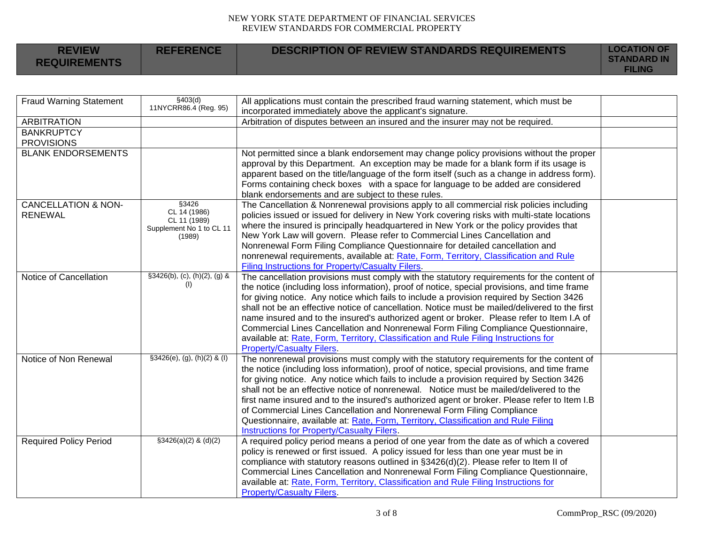| <b>REVIEW</b>       | <b>REFERENCE</b> | <b>DESCRIPTION OF REVIEW STANDARDS REQUIREMENTS</b> | <b>LOCATION OF</b><br><b>STANDARD IN</b> |
|---------------------|------------------|-----------------------------------------------------|------------------------------------------|
| <b>REQUIREMENTS</b> |                  |                                                     | <b>FILING</b>                            |

| <b>Fraud Warning Statement</b>                   | \$403(d)<br>11NYCRR86.4 (Reg. 95)                                           | All applications must contain the prescribed fraud warning statement, which must be<br>incorporated immediately above the applicant's signature.                                                                                                                                                                                                                                                                                                                                                                                                                                                                                                                                                         |  |
|--------------------------------------------------|-----------------------------------------------------------------------------|----------------------------------------------------------------------------------------------------------------------------------------------------------------------------------------------------------------------------------------------------------------------------------------------------------------------------------------------------------------------------------------------------------------------------------------------------------------------------------------------------------------------------------------------------------------------------------------------------------------------------------------------------------------------------------------------------------|--|
| <b>ARBITRATION</b>                               |                                                                             | Arbitration of disputes between an insured and the insurer may not be required.                                                                                                                                                                                                                                                                                                                                                                                                                                                                                                                                                                                                                          |  |
| <b>BANKRUPTCY</b><br><b>PROVISIONS</b>           |                                                                             |                                                                                                                                                                                                                                                                                                                                                                                                                                                                                                                                                                                                                                                                                                          |  |
| <b>BLANK ENDORSEMENTS</b>                        |                                                                             | Not permitted since a blank endorsement may change policy provisions without the proper<br>approval by this Department. An exception may be made for a blank form if its usage is<br>apparent based on the title/language of the form itself (such as a change in address form).<br>Forms containing check boxes with a space for language to be added are considered<br>blank endorsements and are subject to these rules.                                                                                                                                                                                                                                                                              |  |
| <b>CANCELLATION &amp; NON-</b><br><b>RENEWAL</b> | §3426<br>CL 14 (1986)<br>CL 11 (1989)<br>Supplement No 1 to CL 11<br>(1989) | The Cancellation & Nonrenewal provisions apply to all commercial risk policies including<br>policies issued or issued for delivery in New York covering risks with multi-state locations<br>where the insured is principally headquartered in New York or the policy provides that<br>New York Law will govern. Please refer to Commercial Lines Cancellation and<br>Nonrenewal Form Filing Compliance Questionnaire for detailed cancellation and<br>nonrenewal requirements, available at: Rate, Form, Territory, Classification and Rule<br>Filing Instructions for Property/Casualty Filers.                                                                                                         |  |
| Notice of Cancellation                           | §3426(b), (c), (h)(2), (g) &<br>(1)                                         | The cancellation provisions must comply with the statutory requirements for the content of<br>the notice (including loss information), proof of notice, special provisions, and time frame<br>for giving notice. Any notice which fails to include a provision required by Section 3426<br>shall not be an effective notice of cancellation. Notice must be mailed/delivered to the first<br>name insured and to the insured's authorized agent or broker. Please refer to Item I.A of<br>Commercial Lines Cancellation and Nonrenewal Form Filing Compliance Questionnaire,<br>available at: Rate, Form, Territory, Classification and Rule Filing Instructions for<br><b>Property/Casualty Filers.</b> |  |
| Notice of Non Renewal                            | $$3426(e), (g), (h)(2)$ & (I)                                               | The nonrenewal provisions must comply with the statutory requirements for the content of<br>the notice (including loss information), proof of notice, special provisions, and time frame<br>for giving notice. Any notice which fails to include a provision required by Section 3426<br>shall not be an effective notice of nonrenewal. Notice must be mailed/delivered to the<br>first name insured and to the insured's authorized agent or broker. Please refer to Item I.B<br>of Commercial Lines Cancellation and Nonrenewal Form Filing Compliance<br>Questionnaire, available at: Rate, Form, Territory, Classification and Rule Filing<br>Instructions for Property/Casualty Filers.            |  |
| <b>Required Policy Period</b>                    | $$3426(a)(2)$ & (d)(2)                                                      | A required policy period means a period of one year from the date as of which a covered<br>policy is renewed or first issued. A policy issued for less than one year must be in<br>compliance with statutory reasons outlined in §3426(d)(2). Please refer to Item II of<br>Commercial Lines Cancellation and Nonrenewal Form Filing Compliance Questionnaire,<br>available at: Rate, Form, Territory, Classification and Rule Filing Instructions for<br><b>Property/Casualty Filers.</b>                                                                                                                                                                                                               |  |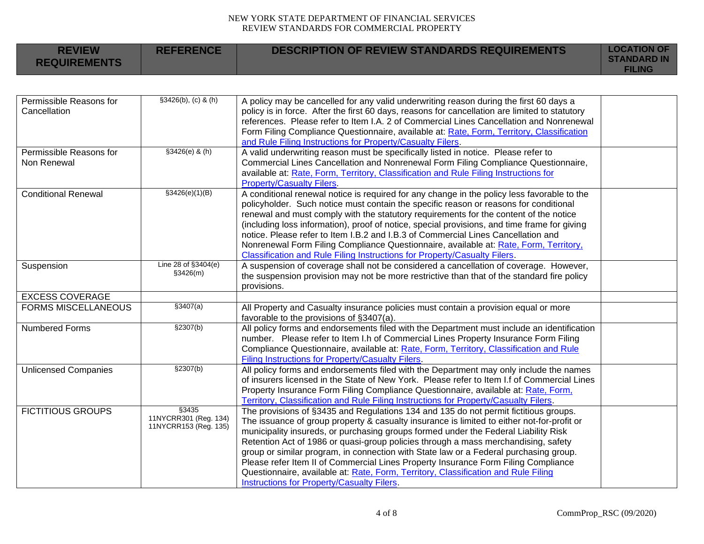| <b>REVIEW</b><br><b>REQUIREMENTS</b>    | <b>REFERENCE</b>                                        | <b>DESCRIPTION OF REVIEW STANDARDS REQUIREMENTS</b>                                                                                                                                                                                                                                                                                                                                                                                                                                                                                                                                                                                                                                | <b>LOCATION OF</b><br><b>STANDARD IN</b><br><b>FILING</b> |
|-----------------------------------------|---------------------------------------------------------|------------------------------------------------------------------------------------------------------------------------------------------------------------------------------------------------------------------------------------------------------------------------------------------------------------------------------------------------------------------------------------------------------------------------------------------------------------------------------------------------------------------------------------------------------------------------------------------------------------------------------------------------------------------------------------|-----------------------------------------------------------|
|                                         |                                                         |                                                                                                                                                                                                                                                                                                                                                                                                                                                                                                                                                                                                                                                                                    |                                                           |
| Permissible Reasons for<br>Cancellation | \$3426(b), (c) & (h)                                    | A policy may be cancelled for any valid underwriting reason during the first 60 days a<br>policy is in force. After the first 60 days, reasons for cancellation are limited to statutory<br>references. Please refer to Item I.A. 2 of Commercial Lines Cancellation and Nonrenewal<br>Form Filing Compliance Questionnaire, available at: Rate, Form, Territory, Classification<br>and Rule Filing Instructions for Property/Casualty Filers.                                                                                                                                                                                                                                     |                                                           |
| Permissible Reasons for<br>Non Renewal  | $$3426(e)$ & (h)                                        | A valid underwriting reason must be specifically listed in notice. Please refer to<br>Commercial Lines Cancellation and Nonrenewal Form Filing Compliance Questionnaire,<br>available at: Rate, Form, Territory, Classification and Rule Filing Instructions for<br><b>Property/Casualty Filers.</b>                                                                                                                                                                                                                                                                                                                                                                               |                                                           |
| <b>Conditional Renewal</b>              | \$3426(e)(1)(B)                                         | A conditional renewal notice is required for any change in the policy less favorable to the<br>policyholder. Such notice must contain the specific reason or reasons for conditional<br>renewal and must comply with the statutory requirements for the content of the notice<br>(including loss information), proof of notice, special provisions, and time frame for giving<br>notice. Please refer to Item I.B.2 and I.B.3 of Commercial Lines Cancellation and<br>Nonrenewal Form Filing Compliance Questionnaire, available at: Rate, Form, Territory,<br>Classification and Rule Filing Instructions for Property/Casualty Filers.                                           |                                                           |
| Suspension                              | Line 28 of §3404(e)<br>\$3426(m)                        | A suspension of coverage shall not be considered a cancellation of coverage. However,<br>the suspension provision may not be more restrictive than that of the standard fire policy<br>provisions.                                                                                                                                                                                                                                                                                                                                                                                                                                                                                 |                                                           |
| <b>EXCESS COVERAGE</b>                  |                                                         |                                                                                                                                                                                                                                                                                                                                                                                                                                                                                                                                                                                                                                                                                    |                                                           |
| <b>FORMS MISCELLANEOUS</b>              | \$3407(a)                                               | All Property and Casualty insurance policies must contain a provision equal or more<br>favorable to the provisions of §3407(a).                                                                                                                                                                                                                                                                                                                                                                                                                                                                                                                                                    |                                                           |
| <b>Numbered Forms</b>                   | \$2307(b)                                               | All policy forms and endorsements filed with the Department must include an identification<br>number. Please refer to Item I.h of Commercial Lines Property Insurance Form Filing<br>Compliance Questionnaire, available at: Rate, Form, Territory, Classification and Rule<br>Filing Instructions for Property/Casualty Filers.                                                                                                                                                                                                                                                                                                                                                   |                                                           |
| <b>Unlicensed Companies</b>             | \$2307(b)                                               | All policy forms and endorsements filed with the Department may only include the names<br>of insurers licensed in the State of New York. Please refer to Item I.f of Commercial Lines<br>Property Insurance Form Filing Compliance Questionnaire, available at: Rate, Form,<br>Territory, Classification and Rule Filing Instructions for Property/Casualty Filers.                                                                                                                                                                                                                                                                                                                |                                                           |
| <b>FICTITIOUS GROUPS</b>                | §3435<br>11NYCRR301 (Reg. 134)<br>11NYCRR153 (Reg. 135) | The provisions of §3435 and Regulations 134 and 135 do not permit fictitious groups.<br>The issuance of group property & casualty insurance is limited to either not-for-profit or<br>municipality insureds, or purchasing groups formed under the Federal Liability Risk<br>Retention Act of 1986 or quasi-group policies through a mass merchandising, safety<br>group or similar program, in connection with State law or a Federal purchasing group.<br>Please refer Item II of Commercial Lines Property Insurance Form Filing Compliance<br>Questionnaire, available at: Rate, Form, Territory, Classification and Rule Filing<br>Instructions for Property/Casualty Filers. |                                                           |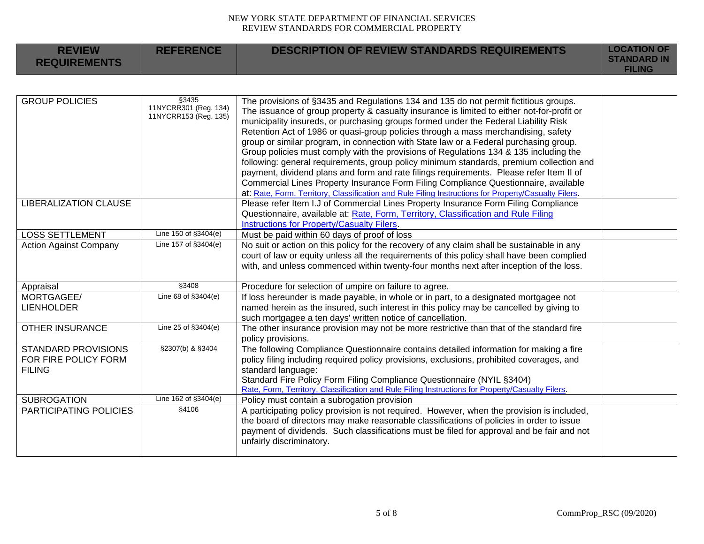| <b>REVIEW</b>                                                       | <b>REFERENCE</b>                                        | <b>DESCRIPTION OF REVIEW STANDARDS REQUIREMENTS</b>                                                                                                                                                                                                                                                                                                                                                                                                                                                                                               | <b>LOCATION OF</b> |
|---------------------------------------------------------------------|---------------------------------------------------------|---------------------------------------------------------------------------------------------------------------------------------------------------------------------------------------------------------------------------------------------------------------------------------------------------------------------------------------------------------------------------------------------------------------------------------------------------------------------------------------------------------------------------------------------------|--------------------|
| <b>REQUIREMENTS</b>                                                 |                                                         |                                                                                                                                                                                                                                                                                                                                                                                                                                                                                                                                                   | <b>STANDARD IN</b> |
|                                                                     |                                                         |                                                                                                                                                                                                                                                                                                                                                                                                                                                                                                                                                   | <b>FILING</b>      |
|                                                                     |                                                         |                                                                                                                                                                                                                                                                                                                                                                                                                                                                                                                                                   |                    |
| <b>GROUP POLICIES</b>                                               | §3435<br>11NYCRR301 (Reg. 134)<br>11NYCRR153 (Reg. 135) | The provisions of §3435 and Regulations 134 and 135 do not permit fictitious groups.<br>The issuance of group property & casualty insurance is limited to either not-for-profit or<br>municipality insureds, or purchasing groups formed under the Federal Liability Risk<br>Retention Act of 1986 or quasi-group policies through a mass merchandising, safety<br>group or similar program, in connection with State law or a Federal purchasing group.<br>Group policies must comply with the provisions of Regulations 134 & 135 including the |                    |
|                                                                     |                                                         | following: general requirements, group policy minimum standards, premium collection and<br>payment, dividend plans and form and rate filings requirements. Please refer Item II of<br>Commercial Lines Property Insurance Form Filing Compliance Questionnaire, available<br>at: Rate, Form, Territory, Classification and Rule Filing Instructions for Property/Casualty Filers.                                                                                                                                                                 |                    |
| <b>LIBERALIZATION CLAUSE</b>                                        |                                                         | Please refer Item I.J of Commercial Lines Property Insurance Form Filing Compliance<br>Questionnaire, available at: Rate, Form, Territory, Classification and Rule Filing<br>Instructions for Property/Casualty Filers.                                                                                                                                                                                                                                                                                                                           |                    |
| <b>LOSS SETTLEMENT</b>                                              | Line 150 of §3404(e)                                    | Must be paid within 60 days of proof of loss                                                                                                                                                                                                                                                                                                                                                                                                                                                                                                      |                    |
| <b>Action Against Company</b>                                       | Line 157 of §3404(e)                                    | No suit or action on this policy for the recovery of any claim shall be sustainable in any<br>court of law or equity unless all the requirements of this policy shall have been complied<br>with, and unless commenced within twenty-four months next after inception of the loss.                                                                                                                                                                                                                                                                |                    |
| Appraisal                                                           | §3408                                                   | Procedure for selection of umpire on failure to agree.                                                                                                                                                                                                                                                                                                                                                                                                                                                                                            |                    |
| MORTGAGEE/<br><b>LIENHOLDER</b>                                     | Line 68 of §3404(e)                                     | If loss hereunder is made payable, in whole or in part, to a designated mortgagee not<br>named herein as the insured, such interest in this policy may be cancelled by giving to<br>such mortgagee a ten days' written notice of cancellation.                                                                                                                                                                                                                                                                                                    |                    |
| <b>OTHER INSURANCE</b>                                              | Line 25 of §3404(e)                                     | The other insurance provision may not be more restrictive than that of the standard fire<br>policy provisions.                                                                                                                                                                                                                                                                                                                                                                                                                                    |                    |
| <b>STANDARD PROVISIONS</b><br>FOR FIRE POLICY FORM<br><b>FILING</b> | §2307(b) & §3404                                        | The following Compliance Questionnaire contains detailed information for making a fire<br>policy filing including required policy provisions, exclusions, prohibited coverages, and<br>standard language:<br>Standard Fire Policy Form Filing Compliance Questionnaire (NYIL §3404)<br>Rate, Form, Territory, Classification and Rule Filing Instructions for Property/Casualty Filers.                                                                                                                                                           |                    |
| <b>SUBROGATION</b>                                                  | Line 162 of §3404(e)                                    | Policy must contain a subrogation provision                                                                                                                                                                                                                                                                                                                                                                                                                                                                                                       |                    |
| PARTICIPATING POLICIES                                              | $\sqrt{$4106}$                                          | A participating policy provision is not required. However, when the provision is included,<br>the board of directors may make reasonable classifications of policies in order to issue<br>payment of dividends. Such classifications must be filed for approval and be fair and not<br>unfairly discriminatory.                                                                                                                                                                                                                                   |                    |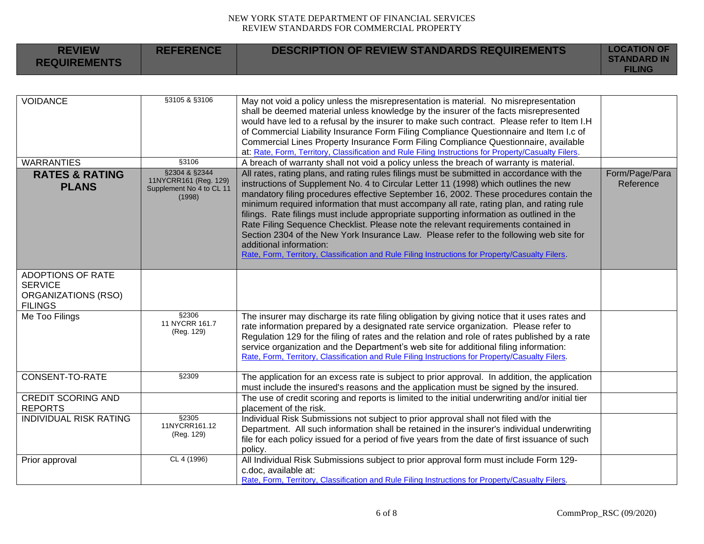| <b>REVIEW</b><br><b>REQUIREMENTS</b>                    | <b>REFERENCE</b>                                                             | <b>DESCRIPTION OF REVIEW STANDARDS REQUIREMENTS</b>                                                                                                                                                                                                                                                                                                                                                                                                                                                                                                                                                                                                                                                                                                                                | <b>LOCATION OF</b><br><b>STANDARD IN</b><br><b>FILING</b> |
|---------------------------------------------------------|------------------------------------------------------------------------------|------------------------------------------------------------------------------------------------------------------------------------------------------------------------------------------------------------------------------------------------------------------------------------------------------------------------------------------------------------------------------------------------------------------------------------------------------------------------------------------------------------------------------------------------------------------------------------------------------------------------------------------------------------------------------------------------------------------------------------------------------------------------------------|-----------------------------------------------------------|
|                                                         |                                                                              |                                                                                                                                                                                                                                                                                                                                                                                                                                                                                                                                                                                                                                                                                                                                                                                    |                                                           |
| <b>VOIDANCE</b>                                         | §3105 & §3106                                                                | May not void a policy unless the misrepresentation is material. No misrepresentation<br>shall be deemed material unless knowledge by the insurer of the facts misrepresented<br>would have led to a refusal by the insurer to make such contract. Please refer to Item I.H<br>of Commercial Liability Insurance Form Filing Compliance Questionnaire and Item I.c of<br>Commercial Lines Property Insurance Form Filing Compliance Questionnaire, available<br>at: Rate, Form, Territory, Classification and Rule Filing Instructions for Property/Casualty Filers.                                                                                                                                                                                                                |                                                           |
| <b>WARRANTIES</b>                                       | §3106                                                                        | A breach of warranty shall not void a policy unless the breach of warranty is material.                                                                                                                                                                                                                                                                                                                                                                                                                                                                                                                                                                                                                                                                                            |                                                           |
| <b>RATES &amp; RATING</b><br><b>PLANS</b>               | §2304 & §2344<br>11NYCRR161 (Reg. 129)<br>Supplement No 4 to CL 11<br>(1998) | All rates, rating plans, and rating rules filings must be submitted in accordance with the<br>instructions of Supplement No. 4 to Circular Letter 11 (1998) which outlines the new<br>mandatory filing procedures effective September 16, 2002. These procedures contain the<br>minimum required information that must accompany all rate, rating plan, and rating rule<br>filings. Rate filings must include appropriate supporting information as outlined in the<br>Rate Filing Sequence Checklist. Please note the relevant requirements contained in<br>Section 2304 of the New York Insurance Law. Please refer to the following web site for<br>additional information:<br>Rate, Form, Territory, Classification and Rule Filing Instructions for Property/Casualty Filers. | Form/Page/Para<br>Reference                               |
| <b>ADOPTIONS OF RATE</b>                                |                                                                              |                                                                                                                                                                                                                                                                                                                                                                                                                                                                                                                                                                                                                                                                                                                                                                                    |                                                           |
| <b>SERVICE</b><br>ORGANIZATIONS (RSO)<br><b>FILINGS</b> |                                                                              |                                                                                                                                                                                                                                                                                                                                                                                                                                                                                                                                                                                                                                                                                                                                                                                    |                                                           |
| Me Too Filings                                          | §2306<br>11 NYCRR 161.7<br>(Reg. 129)                                        | The insurer may discharge its rate filing obligation by giving notice that it uses rates and<br>rate information prepared by a designated rate service organization. Please refer to<br>Regulation 129 for the filing of rates and the relation and role of rates published by a rate<br>service organization and the Department's web site for additional filing information:<br>Rate, Form, Territory, Classification and Rule Filing Instructions for Property/Casualty Filers.                                                                                                                                                                                                                                                                                                 |                                                           |
| <b>CONSENT-TO-RATE</b>                                  | §2309                                                                        | The application for an excess rate is subject to prior approval. In addition, the application<br>must include the insured's reasons and the application must be signed by the insured.                                                                                                                                                                                                                                                                                                                                                                                                                                                                                                                                                                                             |                                                           |
| <b>CREDIT SCORING AND</b><br><b>REPORTS</b>             |                                                                              | The use of credit scoring and reports is limited to the initial underwriting and/or initial tier<br>placement of the risk.                                                                                                                                                                                                                                                                                                                                                                                                                                                                                                                                                                                                                                                         |                                                           |
| <b>INDIVIDUAL RISK RATING</b>                           | §2305<br>11NYCRR161.12<br>(Reg. 129)                                         | Individual Risk Submissions not subject to prior approval shall not filed with the<br>Department. All such information shall be retained in the insurer's individual underwriting<br>file for each policy issued for a period of five years from the date of first issuance of such<br>policy.                                                                                                                                                                                                                                                                                                                                                                                                                                                                                     |                                                           |
| Prior approval                                          | CL 4 (1996)                                                                  | All Individual Risk Submissions subject to prior approval form must include Form 129-<br>c.doc, available at:<br>Rate, Form, Territory, Classification and Rule Filing Instructions for Property/Casualty Filers.                                                                                                                                                                                                                                                                                                                                                                                                                                                                                                                                                                  |                                                           |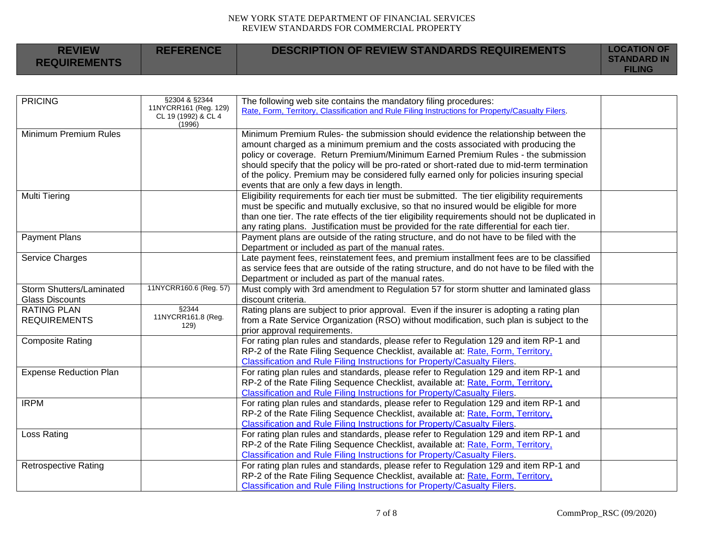| <b>REVIEW</b>       | <b>REFERENCE</b> | <b>DESCRIPTION OF REVIEW STANDARDS REQUIREMENTS</b> | <b>LOCATION OF</b><br><b>STANDARD IN</b> |
|---------------------|------------------|-----------------------------------------------------|------------------------------------------|
| <b>REQUIREMENTS</b> |                  |                                                     | <b>FILING</b>                            |

| <b>PRICING</b>                | §2304 & §2344                                | The following web site contains the mandatory filing procedures:                                 |  |
|-------------------------------|----------------------------------------------|--------------------------------------------------------------------------------------------------|--|
|                               | 11NYCRR161 (Reg. 129)<br>CL 19 (1992) & CL 4 | Rate, Form, Territory, Classification and Rule Filing Instructions for Property/Casualty Filers. |  |
|                               | (1996)                                       |                                                                                                  |  |
| Minimum Premium Rules         |                                              | Minimum Premium Rules- the submission should evidence the relationship between the               |  |
|                               |                                              | amount charged as a minimum premium and the costs associated with producing the                  |  |
|                               |                                              | policy or coverage. Return Premium/Minimum Earned Premium Rules - the submission                 |  |
|                               |                                              | should specify that the policy will be pro-rated or short-rated due to mid-term termination      |  |
|                               |                                              | of the policy. Premium may be considered fully earned only for policies insuring special         |  |
|                               |                                              | events that are only a few days in length.                                                       |  |
| <b>Multi Tiering</b>          |                                              | Eligibility requirements for each tier must be submitted. The tier eligibility requirements      |  |
|                               |                                              | must be specific and mutually exclusive, so that no insured would be eligible for more           |  |
|                               |                                              | than one tier. The rate effects of the tier eligibility requirements should not be duplicated in |  |
|                               |                                              | any rating plans. Justification must be provided for the rate differential for each tier.        |  |
| <b>Payment Plans</b>          |                                              | Payment plans are outside of the rating structure, and do not have to be filed with the          |  |
|                               |                                              | Department or included as part of the manual rates.                                              |  |
| Service Charges               |                                              | Late payment fees, reinstatement fees, and premium installment fees are to be classified         |  |
|                               |                                              | as service fees that are outside of the rating structure, and do not have to be filed with the   |  |
|                               |                                              | Department or included as part of the manual rates.                                              |  |
| Storm Shutters/Laminated      | 11NYCRR160.6 (Reg. 57)                       | Must comply with 3rd amendment to Regulation 57 for storm shutter and laminated glass            |  |
| <b>Glass Discounts</b>        |                                              | discount criteria.                                                                               |  |
| <b>RATING PLAN</b>            | §2344                                        | Rating plans are subject to prior approval. Even if the insurer is adopting a rating plan        |  |
| <b>REQUIREMENTS</b>           | 11NYCRR161.8 (Reg.<br>129)                   | from a Rate Service Organization (RSO) without modification, such plan is subject to the         |  |
|                               |                                              | prior approval requirements.                                                                     |  |
| <b>Composite Rating</b>       |                                              | For rating plan rules and standards, please refer to Regulation 129 and item RP-1 and            |  |
|                               |                                              | RP-2 of the Rate Filing Sequence Checklist, available at: Rate, Form, Territory,                 |  |
|                               |                                              | Classification and Rule Filing Instructions for Property/Casualty Filers.                        |  |
| <b>Expense Reduction Plan</b> |                                              | For rating plan rules and standards, please refer to Regulation 129 and item RP-1 and            |  |
|                               |                                              | RP-2 of the Rate Filing Sequence Checklist, available at: Rate, Form, Territory,                 |  |
|                               |                                              | <b>Classification and Rule Filing Instructions for Property/Casualty Filers.</b>                 |  |
| <b>IRPM</b>                   |                                              | For rating plan rules and standards, please refer to Regulation 129 and item RP-1 and            |  |
|                               |                                              | RP-2 of the Rate Filing Sequence Checklist, available at: Rate, Form, Territory,                 |  |
|                               |                                              | Classification and Rule Filing Instructions for Property/Casualty Filers.                        |  |
| Loss Rating                   |                                              | For rating plan rules and standards, please refer to Regulation 129 and item RP-1 and            |  |
|                               |                                              | RP-2 of the Rate Filing Sequence Checklist, available at: Rate, Form, Territory,                 |  |
|                               |                                              | <b>Classification and Rule Filing Instructions for Property/Casualty Filers.</b>                 |  |
| <b>Retrospective Rating</b>   |                                              | For rating plan rules and standards, please refer to Regulation 129 and item RP-1 and            |  |
|                               |                                              | RP-2 of the Rate Filing Sequence Checklist, available at: Rate, Form, Territory,                 |  |
|                               |                                              | Classification and Rule Filing Instructions for Property/Casualty Filers.                        |  |